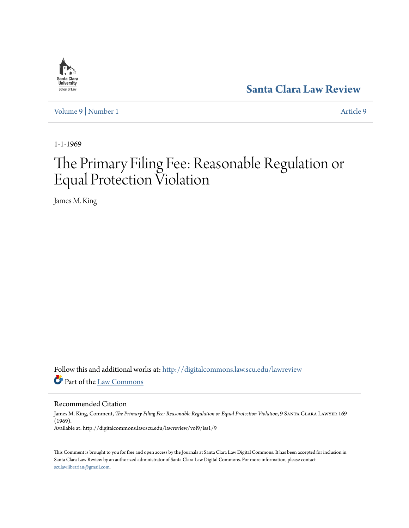

**[Santa Clara Law Review](http://digitalcommons.law.scu.edu/lawreview?utm_source=digitalcommons.law.scu.edu%2Flawreview%2Fvol9%2Fiss1%2F9&utm_medium=PDF&utm_campaign=PDFCoverPages)**

[Volume 9](http://digitalcommons.law.scu.edu/lawreview/vol9?utm_source=digitalcommons.law.scu.edu%2Flawreview%2Fvol9%2Fiss1%2F9&utm_medium=PDF&utm_campaign=PDFCoverPages) | [Number 1](http://digitalcommons.law.scu.edu/lawreview/vol9/iss1?utm_source=digitalcommons.law.scu.edu%2Flawreview%2Fvol9%2Fiss1%2F9&utm_medium=PDF&utm_campaign=PDFCoverPages) [Article 9](http://digitalcommons.law.scu.edu/lawreview/vol9/iss1/9?utm_source=digitalcommons.law.scu.edu%2Flawreview%2Fvol9%2Fiss1%2F9&utm_medium=PDF&utm_campaign=PDFCoverPages)

1-1-1969

# The Primary Filing Fee: Reasonable Regulation or Equal Protection Violation

James M. King

Follow this and additional works at: [http://digitalcommons.law.scu.edu/lawreview](http://digitalcommons.law.scu.edu/lawreview?utm_source=digitalcommons.law.scu.edu%2Flawreview%2Fvol9%2Fiss1%2F9&utm_medium=PDF&utm_campaign=PDFCoverPages) Part of the [Law Commons](http://network.bepress.com/hgg/discipline/578?utm_source=digitalcommons.law.scu.edu%2Flawreview%2Fvol9%2Fiss1%2F9&utm_medium=PDF&utm_campaign=PDFCoverPages)

Recommended Citation

James M. King, Comment, *The Primary Filing Fee: Reasonable Regulation or Equal Protection Violation*, 9 Santa Clara Lawyer 169 (1969). Available at: http://digitalcommons.law.scu.edu/lawreview/vol9/iss1/9

This Comment is brought to you for free and open access by the Journals at Santa Clara Law Digital Commons. It has been accepted for inclusion in Santa Clara Law Review by an authorized administrator of Santa Clara Law Digital Commons. For more information, please contact [sculawlibrarian@gmail.com](mailto:sculawlibrarian@gmail.com).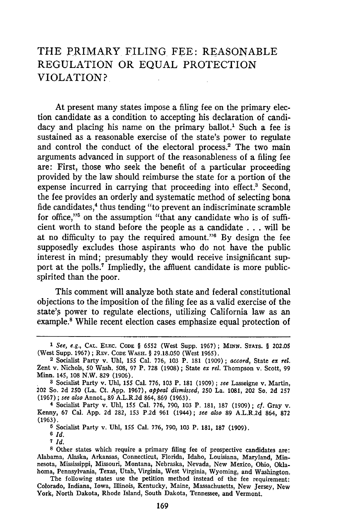## THE PRIMARY FILING FEE: REASONABLE REGULATION OR EQUAL PROTECTION VIOLATION?

At present many states impose a filing fee on the primary election candidate as a condition to accepting his declaration of candidacy and placing his name on the primary ballot.<sup>1</sup> Such a fee is sustained as a reasonable exercise of the state's power to regulate and control the conduct of the electoral process.<sup>2</sup> The two main arguments advanced in support of the reasonableness of a filing fee are: First, those who seek the benefit of a particular proceeding provided by the law should reimburse the state for a portion of the expense incurred in carrying that proceeding into effect.<sup>3</sup> Second, the fee provides an orderly and systematic method of selecting bona fide candidates,<sup>4</sup> thus tending "to prevent an indiscriminate scramble for office,"<sup>5</sup> on the assumption "that any candidate who is of sufficient worth to stand before the people as a candidate ...will be at no difficulty to pay the required amount."6 By design the fee supposedly excludes those aspirants who do not have the public interest in mind; presumably they would receive insignificant support at the polls.7 Impliedly, the affluent candidate is more publicspirited than the poor.

This comment will analyze both state and federal constitutional objections to the imposition of the filing fee as a valid exercise of the state's power to regulate elections, utilizing California law as an example.<sup>8</sup> While recent election cases emphasize equal protection of

**5** Socialist Party v. Uhl, **155** Cal. **776,** 790, 103 P. 181, **187** (1909).

**6** *Id.*

**7** *Id.*

*<sup>1</sup> See, e.g.,* **CAL. ELEC. CODE** § **6552** (West Supp. **1967);** MINN. **STATS.** § **202.05** (West Supp. **1967);** REV. **CODE WASH.** § **29.18.050** (West **1965). <sup>2</sup>**Socialist Party v. Uhl, **155** Cal. 776, **103** P. **181 (1909);** *accord,* State *ex rel.*

Zent v. Nichols, **50** Wash. 508, **97** P. **728 (1908) ;** State *ex rel.* Thompson v. Scott, **99** Minn. 145, 108 N.W. **829 (1906).**

**<sup>3</sup>** Socialist Party v. **Uhl, 155** Cal. **776, 103** P. **181** (1909) *; see* Lasseigne v. Martin, 202 So. **2d** 250 (La. Ct. **App. 1967),** *appeal dismissed,* **250** La. **1081,** 202 So. **2d 257 (1967) ;** *see also* Annot., **89** A.L.R.2d **864, 869 (1963).**

<sup>4</sup> Socialist Party v. **Uhl, 155** Cal. **776, 790, 103** P. **181, 187 (1909) ;** *cf.* Gray v. Kenny, 67 Cal. **App. 2d 282, 153 P.2d 961 (1944);** *see also* **89** A.L.R.2d 864, **872** (1963).

**<sup>8</sup>** Other states which require a primary filing fee of prospective candidates are: Alabama, Alaska, Arkansas, Connecticut, Florida, Idaho, Louisiana, Maryland, Minnesota, Mississippi, Missouri, Montana, Nebraska, Nevada, New Mexico, Ohio, Oklahoma, Pennsylvania, Texas, Utah, Virginia, West Virginia, Wyoming, and Washington.

The following states use the petition method instead of the fee requirement: Colorado, Indiana, Iowa, Illinois, Kentucky, Maine, Massachusetts, New Jersey, New York, North Dakota, Rhode Island, South Dakota, Tennessee, and Vermont.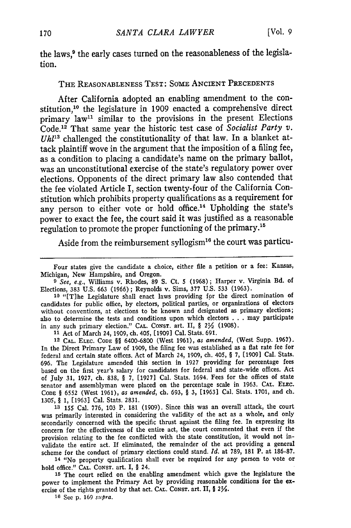the laws,<sup>9</sup> the early cases turned on the reasonableness of the legislation.

#### THE REASONABLENESS TEST: SOME ANCIENT PRECEDENTS

After California adopted an enabling amendment to the constitution,<sup>10</sup> the legislature in 1909 enacted a comprehensive direct primary law<sup>11</sup> similar to the provisions in the present Elections Code.<sup>12</sup> That same year the historic test case of *Socialist Party v*.  $Uh^{13}$  challenged the constitutionality of that law. In a blanket attack plaintiff wove in the argument that the imposition of a filing fee, as a condition to placing a candidate's name on the primary ballot, was an unconstitutional exercise of the state's regulatory power over elections. Opponents of the direct primary law also contended that the fee violated Article I, section twenty-four of the California Constitution which prohibits property qualifications as a requirement for any person to either vote or hold office.<sup>14</sup> Upholding the state's power to exact the fee, the court said it was justified as a reasonable regulation to promote the proper functioning of the primary."

Aside from the reimbursement syllogism<sup>16</sup> the court was particu-

**<sup>10</sup>**"[Tlhe Legislature shall enact laws providing for the direct nomination of candidates for public office, by electors, political parties, or organizations of electors without conventions, at elections to be known and designated as primary elections; also to determine the tests and conditions upon which electors ...may participate in any such primary election." CAL. CONST. art. II, §  $2\frac{1}{2}$  (1908).

**<sup>11</sup>**Act of March 24, 1909, ch. 405, [1909] Cal. Stats. 691.

12 **CAL.** ELEC. **CODE §§** 6400-6800 (West 1961), *as amended,* (West Supp. 1967). In the Direct Primary Law of 1909, the filing fee was established as a flat rate fee for federal and certain state offices. Act of March 24, 1909, ch. 405, § 7, [1909] Cal. Stats. 696. The Legislature amended this section in 1927 providing for percentage fees based on the first year's salary for candidates for federal and state-wide offices. Act of July 31, 1927, ch. 838, § 7, [1927] Cal. Stats. 1694. Fees for the offices of state senator and assemblyman were placed on the percentage scale in 1963. **CAL.** ELc. **CODE** § 6552 (West 1961), *as amended,* ch. 693, § 3, [1963] Cal. Stats. 1701, and ch. 1305, § 1, [1963] Cal. Stats. 2831.

**<sup>13</sup>**155 Cal. 776, 103 P. 181 (1909). Since this was an overall attack, the court was primarily interested in considering the validity of the act as a whole, and only secondarily concerned with the specific thrust against the filing fee. In expressing its concern for the effectiveness of the entire act, the court commented that even if the provision relating to the fee conflicted with the state constitution, it would not invalidate the entire act. If eliminated, the remainder of the act providing a general scheme for the conduct of primary elections could stand. *Id.* at 789, 181 P. at 186-87.

<sup>14</sup>"No property qualification shall ever be required for any person to vote or hold office." CAL. CONST. art. I, § 24.

**<sup>15</sup>**The court relied on the enabling amendment which gave the legislature the power to implement the Primary Act by providing reasonable conditions for the exercise of the rights granted by that act. **CAL. CONST.** art. II, § 2%.

**16** See p. 169 *supra.*

Four states give the candidate a choice, either file a petition or a fee: Kansas, Michigan, New Hampshire, and Oregon.

*<sup>9</sup> See, e.g.,* Williams v. Rhodes, 89 **S.** Ct. 5 (1968); Harper v. Virginia Bd. of Elections, 383 U.S. 663 (1966) ; Reynolds v. Sims, 377 U.S. 533 (1963).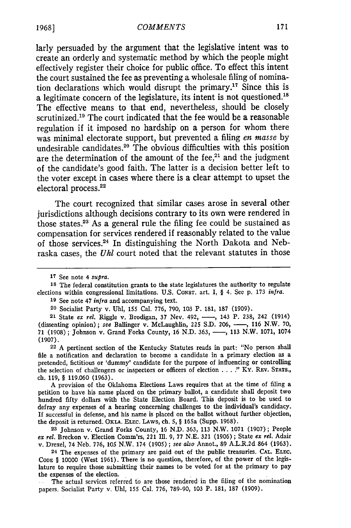larly persuaded by the argument that the legislative intent was to create an orderly and systematic method by which the people might effectively register their choice for public office. To effect this intent the court sustained the fee as preventing a wholesale filing of nomination declarations which would disrupt the primary.<sup>17</sup> Since this is a legitimate concern of the legislature, its intent is not questioned.<sup>18</sup> The effective means to that end, nevertheless, should be closely scrutinized.<sup>19</sup> The court indicated that the fee would be a reasonable regulation if it imposed no hardship on a person for whom there was minimal electorate support, but prevented a filing *en masse* by undesirable candidates.<sup>20</sup> The obvious difficulties with this position are the determination of the amount of the fee, $21$  and the judgment of the candidate's good faith. The latter is a decision better left to the voter except in cases where there is a clear attempt to upset the electoral process.22

The court recognized that similar cases arose in several other jurisdictions although decisions contrary to its own were rendered in those states.23 As a general rule the filing fee could be sustained as compensation for services rendered if reasonably related to the value of those services.24 In distinguishing the North Dakota and Nebraska cases, the *Uhl* court noted that the relevant statutes in those

22 A pertinent section of the Kentucky Statutes reads in part: "No person shall file a notification and declaration to become a candidate in a primary election as a pretended, fictitious or 'dummy' candidate for the purpose of influencing or controlling the selection of challengers or inspectors or officers of election .... " KY. REV. **STATS.,** ch. 119, § 119.060 (1963).

A provision of the Oklahoma Elections Laws requires that at the time of filing a petition to have his name placed on the primary ballot, a candidate shall deposit two hundred fifty dollars with the State Election Board. This deposit is to be used to defray any expenses of a hearing concerning challenges to the individual's candidacy. If successful in defense, and his name is placed on the ballot without further objection, the deposit is returned. **OKLA.** ELEC. LAWS, ch. 5, § 165a (Supp. 1968).

**23** Johnson v. Grand Forks County, 16 N.D. 363, 113 N.W. 1071 (1907); People *ex rel.* Breckon v. Election Comm'rs, 221 Ill. 9, **77** N.E. 321 (1906) **;** State *ex rel.* Adair v. Drexel, 74 Neb. 776, 105 N.W. 174 (1905) ; *see also* Annot., 89 A.L.R.2d 864 (1963).

24 The expenses of the primary are paid out of the public treasuries. CAL. ELEC. **CODE** § 10000 (West 1961). There is no question, therefore, of the power of the legislature to require those submitting their names to be voted for at the primary to pay the expenses of the election.

The actual services referred to are those rendered in the filing of the nomination papers. Socialist Party v. Uhl, 155 Cal. 776, 789-90, 103 P. 181, 187 (1909).

<sup>17</sup> See note 4 *supra.*

<sup>18</sup> The federal constitution grants to the state legislatures the authority to regulate elections within congressional limitations. U.S. CoNsT. art. I, § 4. See p. 173 *infra.*

**<sup>19</sup>** See note 47 *infra* and accompanying text.

<sup>20</sup> Socialist Party v. Uhl, 155 Cal. 776, 790, 103 P. 181, 187 (1909).

<sup>21</sup> State ex rel. Riggle v. Brodigan, 37 Nev. 492, -, 143 P. 238, 242 (1914) (dissenting opinion); see Ballinger v. McLaughlin, 225 S.D. 206, -, 116 N.W. 70, 71 (1908); Johnson v. Grand Forks County, 16 N.D. 363, ---, 113 N.W. 1071, 1074 (1907).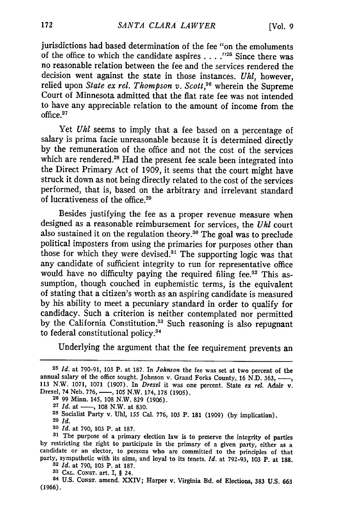jurisdictions had based determination of the fee "on the emoluments of the office to which the candidate aspires . **. . ."** Since there was no reasonable relation between the fee and the services rendered the decision went against the state in those instances. *Uhl,* however, relied upon State ex rel. Thompson v. Scott,<sup>26</sup> wherein the Supreme Court of Minnesota admitted that the flat rate fee was not intended to have any appreciable relation to the amount of income from the office.<sup>27</sup>

Yet **Uhl** seems to imply that a fee based on a percentage of salary is prima facie unreasonable because it is determined directly by the remuneration of the office and not the cost of the services which are rendered.<sup>28</sup> Had the present fee scale been integrated into the Direct Primary Act of **1909,** it seems that the court might have struck it down as not being directly related to the cost of the services performed, that is, based on the arbitrary and irrelevant standard of lucrativeness of the office.<sup>29</sup>

Besides justifying the fee as a proper revenue measure when designed as a reasonable reimbursement for services, the **Uhl** court also sustained it on the regulation theory.<sup>30</sup> The goal was to preclude political imposters from using the primaries for purposes other than those for which they were devised.<sup>31</sup> The supporting logic was that any candidate of sufficient integrity to run for representative office would have no difficulty paying the required filing fee.<sup>32</sup> This assumption, though couched in euphemistic terms, is the equivalent of stating that a citizen's worth as an aspiring candidate is measured **by** his ability to meet a pecuniary standard in order to qualify for candidacy. Such a criterion is neither contemplated nor permitted by the California Constitution.<sup>33</sup> Such reasoning is also repugnant to federal constitutional policy.34

Underlying the argument that the fee requirement prevents an

- 
- 27 *Id.* at —, 108 N.W. at 830.
- **<sup>28</sup>**Socialist Party v. **Uhl, 155** Cal. **776, 103** P. **181 (1909) (by** implication).
- **29** *Id.*
- **<sup>30</sup>***Id.* at 790, 103 P. at 187.

**<sup>25</sup>***Id.* at 790-91, 103 P. at 187. In *Johnson* the fee was set at two percent of the annual salary of the office sought. Johnson v. Grand Forks County, 16 N.D. 363, -,, 113 N.W. 1071, **1071** (1907). In *Drexel* it was one percent. State *ex* rel. Adair v. Drexel, 74 Neb. 776, -, 105 N.W. 174, 178 (1905). **<sup>26</sup>**99 Minn. 145, 108 N.W. **829** (1906).

**<sup>31</sup>**The purpose of a primary election law is to preserve the integrity of parties by restricting the right to participate in the primary of a given party, either as a candidate or an elector, to persons who are committed to the principles of that party, sympathetic with its aims, and loyal to its tenets. *Id.* at 792-93, 103 P. at **188. <sup>32</sup>***Id.* at 790, 103 P. at 187.

**<sup>33</sup> CAL.** CONST. art. I, § 24.

**<sup>34</sup>**U.S. **CONST.** amend. **XXIV; Harper v. Virginia Bd. of Elections, 383 U.S. 663 (1966).**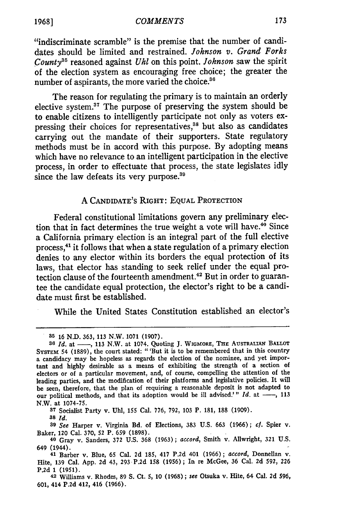#### *COMMENTS*

"indiscriminate scramble" is the premise that the number of candidates should be limited and restrained. *Johnson v. Grand Forks County35* reasoned against *Uhl* on this point. *Johnson* saw the spirit of the election system as encouraging free choice; the greater the number of aspirants, the more varied the choice.<sup>36</sup>

The reason for regulating the primary is to maintain an orderly elective system. $37$  The purpose of preserving the system should be to enable citizens to intelligently participate not only as voters expressing their choices for representatives,<sup>38</sup> but also as candidates carrying out the mandate of their supporters. State regulatory methods must be in accord with this purpose. **By** adopting means which have no relevance to an intelligent participation in the elective process, in order to effectuate that process, the state legislates idly since the law defeats its very purpose.<sup>39</sup>

#### **A** CANDIDATE'S RIGHT: **EQUAL** PROTECTION

Federal constitutional limitations govern any preliminary election that in fact determines the true weight a vote will have.<sup>40</sup> Since a California primary election is an integral part of the full elective process, 4' it follows that when a state regulation of a primary election denies to any elector within its borders the equal protection of its laws, that elector has standing to seek relief under the equal protection clause of the fourteenth amendment.<sup>42</sup> But in order to guarantee the candidate equal protection, the elector's right to be a candidate must first be established.

While the United States Constitution established an elector's

**37** Socialist Party v. **Uhl, 155** Cal. **776, 792, 103** P. **181, 188 (1909).**

**<sup>39</sup>***See* Harper v. Virginia Bd. of Elections, **383 U.S. 663 (1966);** cf. Spier v. Baker, 120 Cal. **370, 52** P. **659 (1898).**

**<sup>35 16</sup> N.D. 363, 113** N.W. **1071 (1907).**

<sup>36</sup> *Id.* at  $\longrightarrow$ , 113 N.W. at 1074. Quoting J. WIGMORE, THE AUSTRALIAN BALLOT **SYSTEm** 54 **(1889),** the court stated: "'But it is to be remembered that in this country a candidacy may be hopeless as regards the election of the nominee, and yet important and **highly** desirable as a means of exhibiting the strength of a section of electors or of a particular movement, and, of course, compelling the attention of the leading parties, and the modification of their platforms and legislative policies. It will be seen, therefore, that the plan of requiring a reasonable deposit is not adapted to our political methods, and that its adoption would be ill advised.'" Id. at -, 113 N.W. at **1074-75.**

**<sup>38</sup>** *Id.*

**<sup>40</sup>** Gray v. Sanders, **372 U.S. 368 (1963);** *accord,* Smith v. Allwright, **321 U.S.** 649 (1944).

**<sup>41</sup>**Barber v. Blue, **65** Cal. **2d 185,** 417 **P.2d** 401 **(1966);** *accord,* Donnellan v. Hite, **139** Cal. **App. 2d** 43, **293 P.2d 158 (1956) ;** In re McGee, **36** Cal. **2d 592, 226 P.2d 1 (1951).**

**<sup>42</sup>** Williams v. Rhodes, **89 S.** Ct. **5, 10 (1968);** *see* Otsuka v. Hite, 64 Cal. **2d 596, 601,** 414 **P.2d** 412, 416 **(1966).**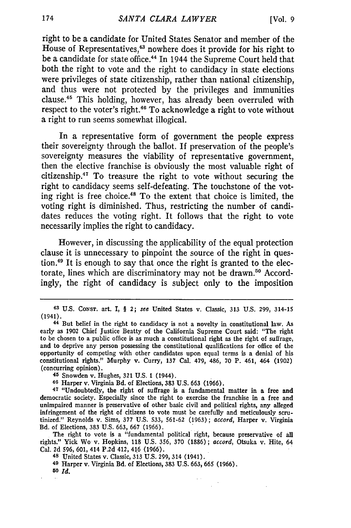right to be a candidate for United States Senator and member of the House of Representatives,<sup>43</sup> nowhere does it provide for his right to be a candidate for state office.<sup>44</sup> In 1944 the Supreme Court held that both the right to vote and the right to candidacy in state elections were privileges of state citizenship, rather than national citizenship, and thus were not protected by the privileges and immunities clause.45 This holding, however, has already been overruled with respect to the voter's right.<sup>46</sup> To acknowledge a right to vote without a right to run seems somewhat illogical.

In a representative form of government the people express their sovereignty through the ballot. If preservation of the people's sovereignty measures the viability of representative government, then the elective franchise is obviously the most valuable right of citizenship. $47$  To treasure the right to vote without securing the right to candidacy seems self-defeating. The touchstone of the voting right is free choice. 48 To the extent that choice is limited, the voting right is diminished. Thus, restricting the number of candidates reduces the voting right. It follows that the right to vote necessarily implies the right to candidacy.

However, in discussing the applicability of the equal protection clause it is unnecessary to pinpoint the source of the right in question.49 It is enough to say that once the right is granted to the electorate, lines which are discriminatory may not be drawn.<sup>50</sup> Accordingly, the right of candidacy is subject only to the imposition

**45** Snowden v. Hughes, **321 U.S.** 1 (1944).

**46** Harper v. Virginia Bd. of Elections, **383 U.S.** 663 (1966).

**<sup>47</sup>**"Undoubtedly, the right of suffrage is a fundamental matter in a free and democratic society. Especially since the right to exercise the franchise in a free and unimpaired manner is preservative of other basic civil and political rights, any alleged infringement of the right of citizens to vote must be carefully and meticulously scru- tinized." Reynolds v. Sims, 377 U.S. 533, 561-62 (1963) ; *accord,* Harper v. Virginia Bd. of Elections, **383** U.S. 663, 667 (1966).

The right to vote is a "fundamental political right, because preservative of **all** rights." Yick Wo v. Hopkins, **118** U.S. 356, 370 (1886); *accord,* Otsuka v. Hite, 64 Cal. 2d 596, 601, 414 P.2d 412, 416 (1966). **<sup>48</sup>**United States v. Classic, **313** U.S. 299, 314 (1941).

**49** Harper v. Virginia Bd. of Elections, **383** U.S. **663, 665** (1966). *50 Id.*

**<sup>43</sup> U.S.** CowsT. art. I, **§** 2; *see* United States v. Classic, 313 **U.S. 299,** 314-15 (1941).

**<sup>44</sup>**But belief **in** the right to candidacy is not a novelty in constitutional law. As early as 1902 Chief Justice Beatty of the California Supreme Court said: "The right to be chosen to a public office is as much a constitutional right as the right of suffrage, and to deprive any person possessing the constitutional qualifications for office of the opportunity of competing with other candidates upon equal terms is a denial of his constitutional rights." Murphy v. Curry, 137 Cal. 479, 486, 70 P. 461, 464 (1902) (concurring opinion).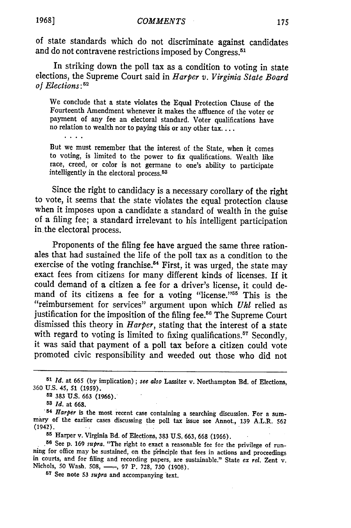of state standards which do not discriminate against candidates and do not contravene restrictions imposed by Congress.<sup>51</sup>

In striking down the poll tax as a condition to voting in state elections, the Supreme Court said in *Harper v. Virginia State Board of Elections:5 <sup>2</sup>*

We conclude that a state violates the Equal Protection Clause of the Fourteenth Amendment whenever it makes the affluence of the voter or payment of any fee an electoral standard. Voter qualifications have no relation to wealth nor to paying this or any other tax....

But we must remember that the interest of the State, when it comes to voting, is limited to the power to fix qualifications. Wealth like race, creed, or color is not germane to one's ability to participate intelligently in the electoral process. <sup>53</sup>

Since the right to candidacy is a necessary corollary of the right to vote, it seems that the state violates the equal protection clause when it imposes upon a candidate a standard of wealth in the guise of a filing fee; a standard irrelevant to his intelligent participation in the electoral process.

Proponents of the filing fee have argued the same three rationales that had sustained the life of the poll tax as a condition to the exercise of the voting franchise.<sup>54</sup> First, it was urged, the state may exact fees from citizens for many different kinds of licenses. If it could demand of a citizen a fee for a driver's license, it could demand of its citizens a fee for a voting "license."<sup>55</sup> This is the "reimbursement for services" argument upon which *Uhl* relied as justification for the imposition of the filing fee.<sup>56</sup> The Supreme Court dismissed this theory in *Harper,* stating that the interest of a state with regard to voting is limited to fixing qualifications.<sup>57</sup> Secondly, it was said that payment of a poll tax before a citizen could vote promoted civic responsibility and weeded out those who did not

**52** 383 U.S. 663 (1966).

*53 Id.* at 668. *<sup>54</sup>Harper* is the most recent case containing a searching discussion. For a sum- miry of the earlier cases discussing the poll tax issue see Annot., **139** A.L.R. **<sup>562</sup>** (1942).

**<sup>55</sup>**Harper v. Virginia Bd. of Elections, 383 U.S. 663, 668 (1966).

<sup>56</sup> See p. 169 *supra*. "The right to exact a reasonable fee for the privilege of running for office may be sustained, on the principle that fees in actions and proceedings in courts, and for filing and recording papers,

**<sup>57</sup>**See note 53 *supra* and accompanying text.

*<sup>51</sup>Id.* at 665 **(by** implication); *see also* Lassiter v. Northampton **Ed.** of Elections, **360** U.S. 45, **51** (1959).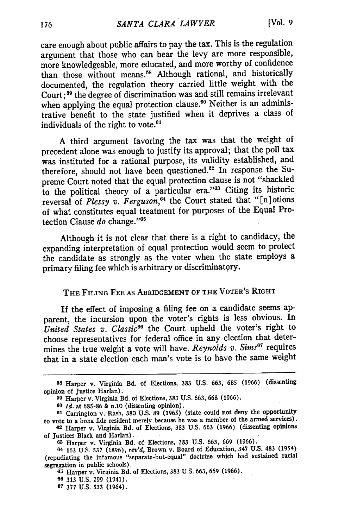care enough about public affairs to pay the tax. This is the regulation argument that those who can bear the levy are more responsible, more knowledgeable, more educated, and more worthy of confidence than those without means.58 Although rational, and historically documented, the regulation theory carried little weight with the Court; **'9** the degree of discrimination was and still remains irrelevant when applying the equal protection clause.<sup>60</sup> Neither is an administrative benefit to the state justified when it deprives a class of individuals of the right to vote.<sup>61</sup>

A third argument favoring the tax was that the weight of precedent alone was enough to justify its approval; that the poll tax was instituted for a rational purpose, its validity established, and therefore, should not have been questioned.<sup>62</sup> In response the Supreme Court noted that the equal protection clause is not "shackled to the political theory of a particular era."<sup>33</sup> Citing its historic reversal of *Plessy v. Ferguson,64* the Court stated that "[n]otions of what constitutes equal treatment for purposes of the Equal Protection Clause *do* change."<sup>65</sup>

Although it is not clear that there is a right to candidacy, the expanding interpretation of equal protection would seem to protect the candidate as strongly as the voter when the state employs a primary filing fee which is arbitrary or discriminatory.

### **THE FILING FEE AS ABRIDGEMENT OF THE VOTER'S RIGHT**

If the effect of imposing a filing fee on a candidate seems apparent, the incursion upon the voter's rights is less obvious. In United States v. Classic<sup>66</sup> the Court upheld the voter's right to choose representatives for federal office in any election that determines the true weight a vote will have. *Reynolds v. Sims<sup>67</sup>* requires that in a state election each man's vote is to have the same weight

**<sup>58</sup>**Harper v. Virginia Bd. of Elections, **383 U.S. 663, 685 (1966)** (dissenting opinion of Justice Harlan).

**<sup>59</sup>**Harper v. Virginia **Bd. of Elections, 383 U.S. 663, 668 (1966).**

**<sup>60</sup>** *Id.* **at 685-86** & n.10 (dissenting opinion).

**<sup>61</sup>**Carrington **v. Rash, 380 U.S. 89 (1965) (state could not deny the opportunity** to vote to a bona fide resident merely because he was a member of the armed services).

**<sup>62</sup>**Harper v. Virginia Bd. of Elections, **383 U.S. 663 (1966)** (dissenting opinions of Justices **Black and Harlan).**

**<sup>63</sup>** Harper v. Virginia **Bd.** of Elections, **383 U.S. 663, 669 (1966).**

**<sup>64 163</sup> U.S. 537 (1896),** *rev'd,* Brown v. Board of Education, 347 **U.S.** 483 (1954) (repudiating the infamous "separate-but-equal" doctrine which had sustained racial segregation in public schools).

**<sup>65</sup>** Harper v. Virginia **Bd.** of Elections, **383 U.S. 663, 669 (1966).**

**<sup>66 313</sup> U.S. 299 (1941).**

**<sup>67 377</sup> U.S. 533** (1964).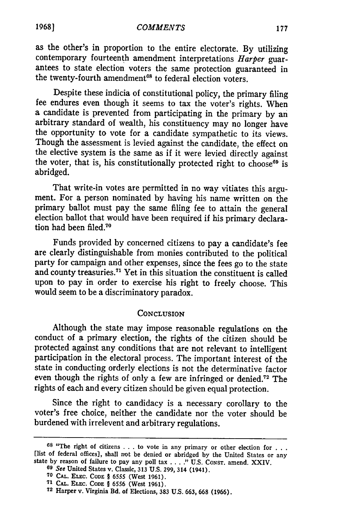as the other's in proportion to the entire electorate. By utilizing contemporary fourteenth amendment interpretations *Harper* guarantees to state election voters the same protection guaranteed in the twenty-fourth amendment<sup>68</sup> to federal election voters.

Despite these indicia of constitutional policy, the primary filing fee endures even though it seems to tax the voter's rights. When a candidate is prevented from participating in the primary **by** an arbitrary standard of wealth, his constituency may no longer have the opportunity to vote for a candidate sympathetic to its views. Though the assessment is levied against the candidate, the effect on the elective system is the same as if it were levied directly against the voter, that is, his constitutionally protected right to choose<sup>69</sup> is abridged.

That write-in votes are permitted in no way vitiates this argument. For a person nominated **by** having his name written on the primary ballot must pay the same filing fee to attain the general election ballot that would have been required if his primary declaration had been filed.70

Funds provided **by** concerned citizens to pay a candidate's fee are clearly distinguishable from monies contributed to the political party for campaign and other expenses, since the fees go to the state and county treasuries.7' Yet in this situation the constituent is called upon to pay in order to exercise his right to freely choose. This would seem to be a discriminatory paradox.

#### **CONCLUSION**

Although the state may impose reasonable regulations on the conduct of a primary election, the rights of the citizen should be protected against any conditions that are not relevant to intelligent participation in the electoral process. The important interest of the state in conducting orderly elections is not the determinative factor even though the rights of only a few are infringed or denied.<sup>72</sup> The rights of each and every citizen should be given equal protection.

Since the right to candidacy is a necessary corollary to the voter's free choice, neither the candidate nor the voter should be burdened with irrelevent and arbitrary regulations.

**<sup>68</sup>**"The right of citizens . . . to vote **in** any primary or other election for **. . .** [list of federal offices], shall not be denied or abridged by the United States or any state by reason of failure to pay any poll tax . . . . " U.S. Const. amend. XXIV.

**<sup>69</sup>** See United States v. Classic, **313 U.S. 299,** 314 (1941).

**<sup>70</sup> CAL. ELEC. CODE** § 6555 (West **1961).**

**<sup>71</sup> CAL. ELEC. CoDE** § **6556** (West 1961).

**<sup>72</sup> Harper v. Virginia Bd. of Elections, 383** U.S. **663,** 668 (1966).